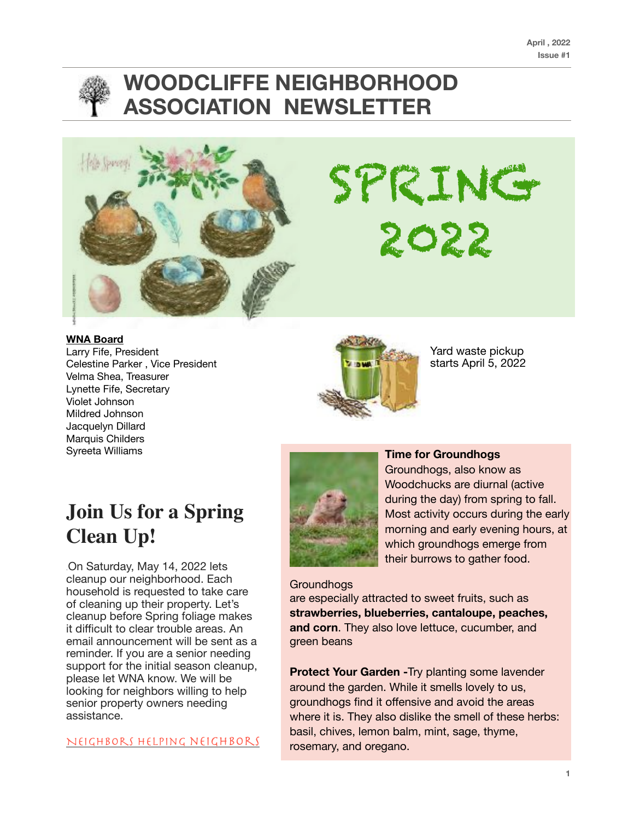

# **WOODCLIFFE NEIGHBORHOOD ASSOCIATION NEWSLETTER**



SPRING 2022

#### **WNA Board**

Larry Fife, President Celestine Parker , Vice President Velma Shea, Treasurer Lynette Fife, Secretary Violet Johnson Mildred Johnson Jacquelyn Dillard Marquis Childers Syreeta Williams



Yard waste pickup starts April 5, 2022

# **Join Us for a Spring Clean Up!**

On Saturday, May 14, 2022 lets cleanup our neighborhood. Each household is requested to take care of cleaning up their property. Let's cleanup before Spring foliage makes it difficult to clear trouble areas. An email announcement will be sent as a reminder. If you are a senior needing support for the initial season cleanup, please let WNA know. We will be looking for neighbors willing to help senior property owners needing assistance.

Neighbors helping neighbors



### **Time for Groundhogs**

Groundhogs, also know as Woodchucks are diurnal (active during the day) from spring to fall. Most activity occurs during the early morning and early evening hours, at which groundhogs emerge from their burrows to gather food.

**Groundhogs** are especially attracted to sweet fruits, such as **strawberries, blueberries, cantaloupe, peaches, and corn**. They also love lettuce, cucumber, and green beans

**Protect Your Garden - Try planting some lavender** around the garden. While it smells lovely to us, groundhogs find it offensive and avoid the areas where it is. They also dislike the smell of these herbs: basil, chives, lemon balm, mint, sage, thyme, rosemary, and oregano.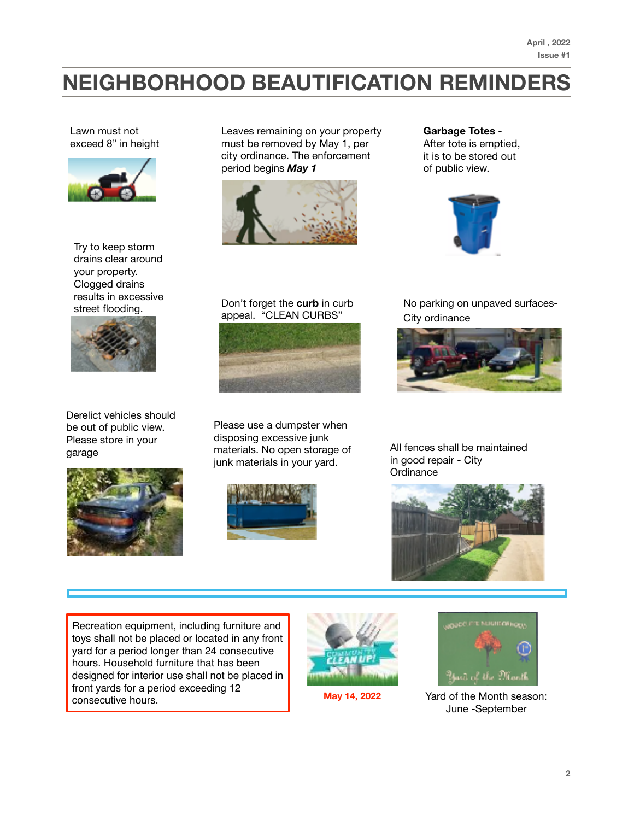**April , 2022 Issue #1**

# **NEIGHBORHOOD BEAUTIFICATION REMINDERS**

Lawn must not exceed 8" in height



Try to keep storm drains clear around your property. Clogged drains results in excessive



Derelict vehicles should be out of public view. Please store in your garage



Leaves remaining on your property must be removed by May 1, per city ordinance. The enforcement period begins *May 1*



**Garbage Totes** - After tote is emptied, it is to be stored out of public view.



### street flooding. Don't forget the **curb** in curb appeal. "CLEAN CURBS"



Please use a dumpster when disposing excessive junk materials. No open storage of junk materials in your yard.



No parking on unpaved surfaces-City ordinance



All fences shall be maintained in good repair - City **Ordinance** 



Recreation equipment, including furniture and toys shall not be placed or located in any front yard for a period longer than 24 consecutive hours. Household furniture that has been designed for interior use shall not be placed in front yards for a period exceeding 12 consecutive hours. The May 14, 2022 May 14, 2022 May 14, 2022 May 14, 2022 May 14, 2022 May 14, 2022 May 14, 2022 May 14, 2022 May 14, 2022 May 14, 2022 May 14, 2022 May 14, 2022 May 14, 2022 May 14, 2022 May 16, 2012 May



**May 14, 2022**



June -September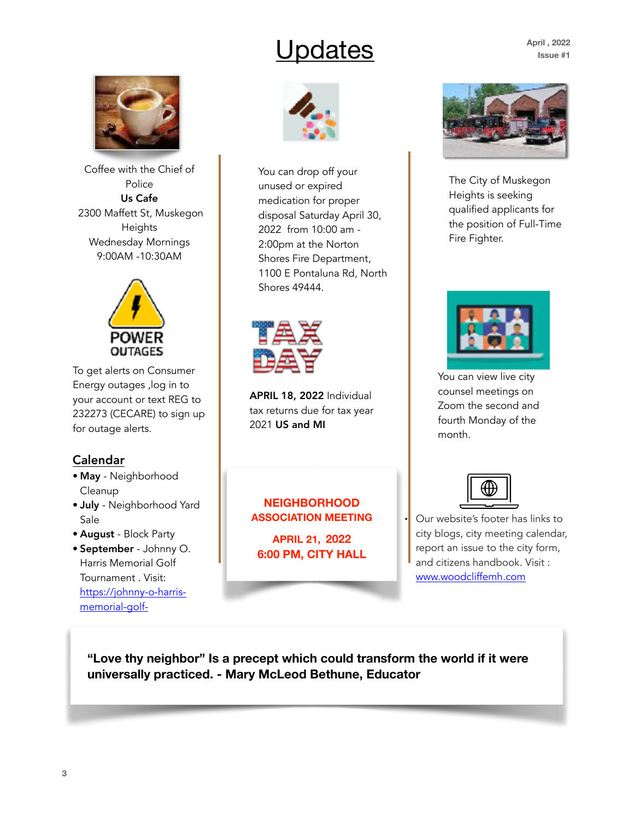# Updates

**April , 2022 Issue #1**



Coffee with the Chief of Police Us Cafe 2300 Maffett St, Muskegon Heights Wednesday Mornings 9:00AM -10:30AM



To get alerts on Consumer Energy outages ,log in to your account or text REG to 232273 (CECARE) to sign up for outage alerts.

### Calendar

- May Neighborhood Cleanup
- July Neighborhood Yard Sale
- August Block Party
- September Johnny O. Harris Memorial Golf Tournament . Visit: [https://johnny-o-harris](https://johnny-o-harris-memorial-golf-)[memorial-golf-](https://johnny-o-harris-memorial-golf-)



You can drop off your unused or expired medication for proper disposal Saturday April 30, 2022 from 10:00 am - 2:00pm at the Norton Shores Fire Department, 1100 E Pontaluna Rd, North Shores 49444.



APRIL 18, 2022 Individual tax returns due for tax year 2021 US and MI

**NEIGHBORHOOD ASSOCIATION MEETING** 

**APRIL 21, 2022 6:00 PM, CITY HALL**



The City of Muskegon Heights is seeking qualified applicants for the position of Full-Time Fire Fighter.



You can view live city counsel meetings on Zoom the second and fourth Monday of the month.



• Our website's footer has links to city blogs, city meeting calendar, report an issue to the city form, and citizens handbook. Visit : [www.woodcliffemh.com](http://www.woodcliffemh.com)

**"Love thy neighbor" Is a precept which could transform the world if it were universally practiced. - Mary McLeod Bethune, Educator**